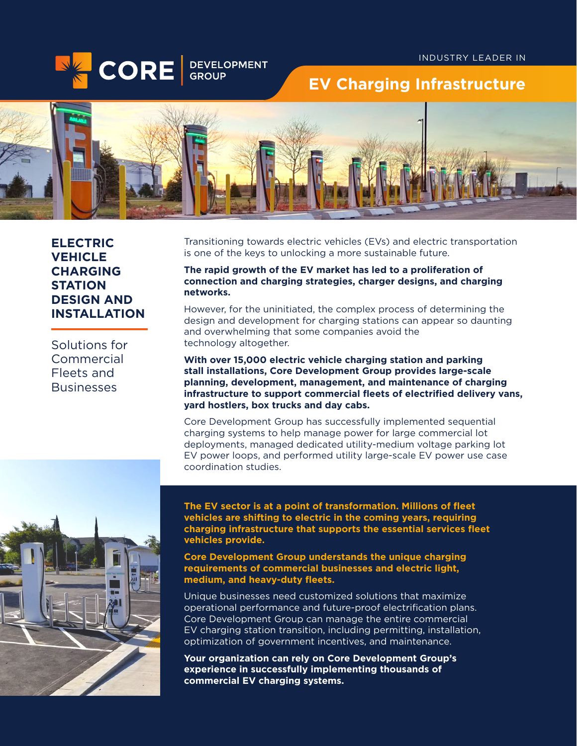

# **EV Charging Infrastructure**



**ELECTRIC VEHICLE CHARGING STATION DESIGN AND INSTALLATION**

Solutions for **Commercial** Fleets and **Businesses** 

Transitioning towards electric vehicles (EVs) and electric transportation is one of the keys to unlocking a more sustainable future.

**The rapid growth of the EV market has led to a proliferation of connection and charging strategies, charger designs, and charging networks.**

However, for the uninitiated, the complex process of determining the design and development for charging stations can appear so daunting and overwhelming that some companies avoid the technology altogether.

**With over 15,000 electric vehicle charging station and parking stall installations, Core Development Group provides large-scale planning, development, management, and maintenance of charging infrastructure to support commercial fleets of electrified delivery vans, yard hostlers, box trucks and day cabs.**

Core Development Group has successfully implemented sequential charging systems to help manage power for large commercial lot deployments, managed dedicated utility-medium voltage parking lot EV power loops, and performed utility large-scale EV power use case coordination studies.



**The EV sector is at a point of transformation. Millions of fleet vehicles are shifting to electric in the coming years, requiring charging infrastructure that supports the essential services fleet vehicles provide.** 

**Core Development Group understands the unique charging requirements of commercial businesses and electric light, medium, and heavy-duty fleets.** 

Unique businesses need customized solutions that maximize operational performance and future-proof electrification plans. Core Development Group can manage the entire commercial EV charging station transition, including permitting, installation, optimization of government incentives, and maintenance.

**Your organization can rely on Core Development Group's experience in successfully implementing thousands of commercial EV charging systems.**